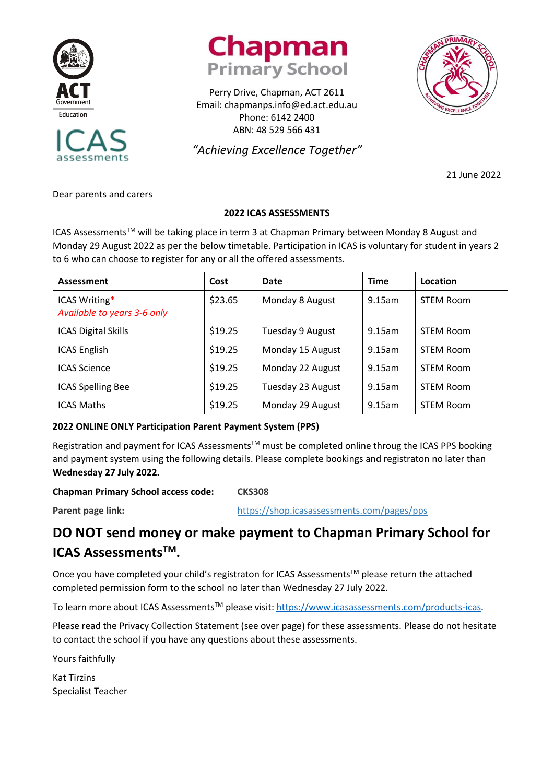





Perry Drive, Chapman, ACT 2611 Email: chapmanps.info@ed.act.edu.au Phone: 6142 2400 ABN: 48 529 566 431

*"Achieving Excellence Together"*

21 June 2022

Dear parents and carers

### **2022 ICAS ASSESSMENTS**

ICAS Assessments<sup>™</sup> will be taking place in term 3 at Chapman Primary between Monday 8 August and Monday 29 August 2022 as per the below timetable. Participation in ICAS is voluntary for student in years 2 to 6 who can choose to register for any or all the offered assessments.

| Assessment                                   | Cost    | Date              | <b>Time</b> | Location         |
|----------------------------------------------|---------|-------------------|-------------|------------------|
| ICAS Writing*<br>Available to years 3-6 only | \$23.65 | Monday 8 August   | 9.15am      | <b>STEM Room</b> |
| <b>ICAS Digital Skills</b>                   | \$19.25 | Tuesday 9 August  | 9.15am      | <b>STEM Room</b> |
| <b>ICAS English</b>                          | \$19.25 | Monday 15 August  | 9.15am      | <b>STEM Room</b> |
| <b>ICAS Science</b>                          | \$19.25 | Monday 22 August  | 9.15am      | <b>STEM Room</b> |
| <b>ICAS Spelling Bee</b>                     | \$19.25 | Tuesday 23 August | 9.15am      | <b>STEM Room</b> |
| <b>ICAS Maths</b>                            | \$19.25 | Monday 29 August  | 9.15am      | <b>STEM Room</b> |

### **2022 ONLINE ONLY Participation Parent Payment System (PPS)**

Registration and payment for ICAS Assessments<sup>™</sup> must be completed online throug the ICAS PPS booking and payment system using the following details. Please complete bookings and registraton no later than **Wednesday 27 July 2022.**

### **Chapman Primary School access code: CKS308**

**Parent page link:** <https://shop.icasassessments.com/pages/pps>

## **DO NOT send money or make payment to Chapman Primary School for ICAS AssessmentsTM.**

Once you have completed your child's registraton for ICAS Assessments™ please return the attached completed permission form to the school no later than Wednesday 27 July 2022.

To learn more about ICAS Assessments<sup>™</sup> please visit: [https://www.icasassessments.com/products-icas.](https://www.icasassessments.com/products-icas)

Please read the Privacy Collection Statement (see over page) for these assessments. Please do not hesitate to contact the school if you have any questions about these assessments.

Yours faithfully

Kat Tirzins Specialist Teacher

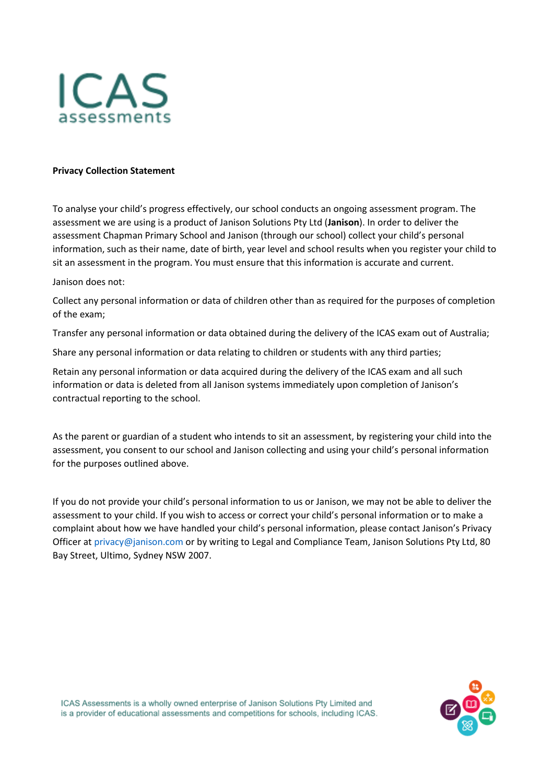

#### **Privacy Collection Statement**

To analyse your child's progress effectively, our school conducts an ongoing assessment program. The assessment we are using is a product of Janison Solutions Pty Ltd (**Janison**). In order to deliver the assessment Chapman Primary School and Janison (through our school) collect your child's personal information, such as their name, date of birth, year level and school results when you register your child to sit an assessment in the program. You must ensure that this information is accurate and current.

Janison does not:

Collect any personal information or data of children other than as required for the purposes of completion of the exam;

Transfer any personal information or data obtained during the delivery of the ICAS exam out of Australia;

Share any personal information or data relating to children or students with any third parties;

Retain any personal information or data acquired during the delivery of the ICAS exam and all such information or data is deleted from all Janison systems immediately upon completion of Janison's contractual reporting to the school.

As the parent or guardian of a student who intends to sit an assessment, by registering your child into the assessment, you consent to our school and Janison collecting and using your child's personal information for the purposes outlined above.

If you do not provide your child's personal information to us or Janison, we may not be able to deliver the assessment to your child. If you wish to access or correct your child's personal information or to make a complaint about how we have handled your child's personal information, please contact Janison's Privacy Officer at [privacy@janison.com](mailto:privacy@janison.com) or by writing to Legal and Compliance Team, Janison Solutions Pty Ltd, 80 Bay Street, Ultimo, Sydney NSW 2007.

ICAS Assessments is a wholly owned enterprise of Janison Solutions Pty Limited and is a provider of educational assessments and competitions for schools, including ICAS.